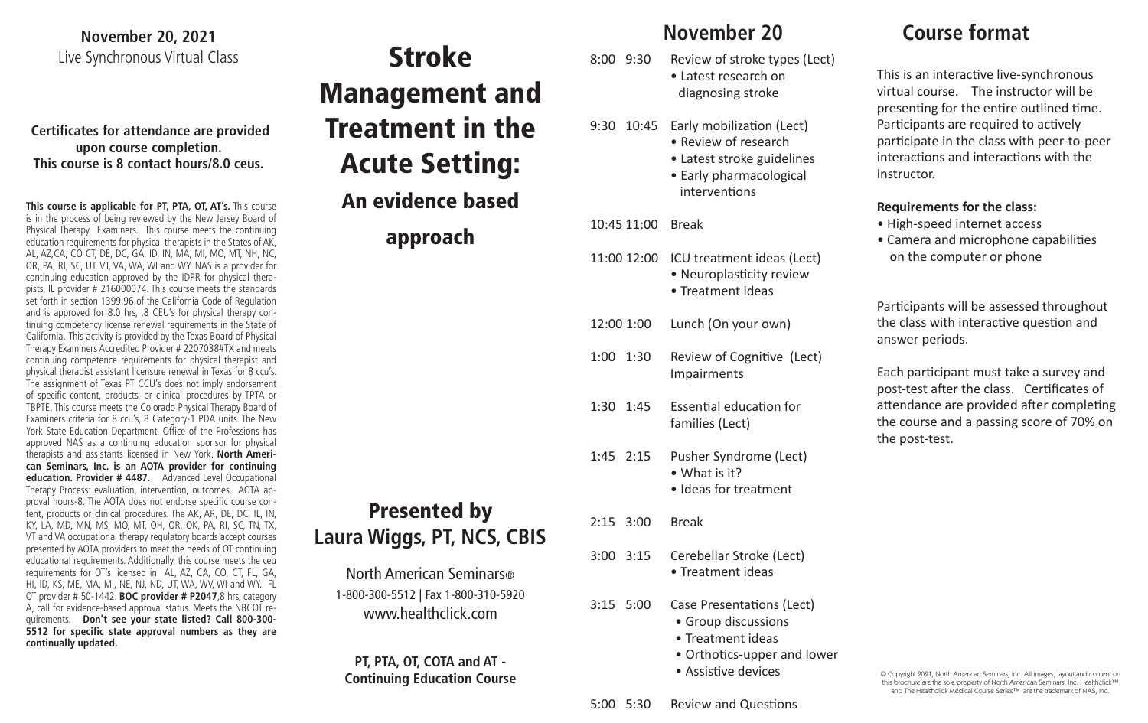**Certificates for attendance are provided upon course completion. This course is 8 contact hours/8.0 ceus.**

**This course is applicable for PT, PTA, OT, AT's.** This course is in the process of being reviewed by the New Jersey Board of Physical Therapy Examiners. This course meets the continuing education requirements for physical therapists in the States of AK, AL, AZ,CA, CO CT, DE, DC, GA, ID, IN, MA, MI, MO, MT, NH, NC, OR, PA, RI, SC, UT, VT, VA, WA, WI and WY. NAS is a provider for continuing education approved by the IDPR for physical therapists, IL provider # 216000074. This course meets the standards set forth in section 1399.96 of the California Code of Regulation and is approved for 8.0 hrs, .8 CEU's for physical therapy continuing competency license renewal requirements in the State of California. This activity is provided by the Texas Board of Physical Therapy Examiners Accredited Provider # 2207038#TX and meets continuing competence requirements for physical therapist and physical therapist assistant licensure renewal in Texas for 8 ccu's. The assignment of Texas PT CCU's does not imply endorsement of specific content, products, or clinical procedures by TPTA or TBPTE. This course meets the Colorado Physical Therapy Board of Examiners criteria for 8 ccu's, 8 Category-1 PDA units. The New York State Education Department, Office of the Professions has approved NAS as a continuing education sponsor for physical therapists and assistants licensed in New York. **North American Seminars, Inc. is an AOTA provider for continuing education. Provider # 4487.** Advanced Level Occupational Therapy Process: evaluation, intervention, outcomes. AOTA approval hours-8. The AOTA does not endorse specific course content, products or clinical procedures. The AK, AR, DE, DC, IL, IN, KY, LA, MD, MN, MS, MO, MT, OH, OR, OK, PA, RI, SC, TN, TX, VT and VA occupational therapy regulatory boards accept courses presented by AOTA providers to meet the needs of OT continuing educational requirements. Additionally, this course meets the ceu requirements for OT's licensed in AL, AZ, CA, CO, CT, FL, GA, HI, ID, KS, ME, MA, MI, NE, NJ, ND, UT, WA, WV, WI and WY. FL OT provider # 50-1442. **BOC provider # P2047**,8 hrs, category A, call for evidence-based approval status. Meets the NBCOT requirements. **Don't see your state listed? Call 800-300- 5512 for specific state approval numbers as they are continually updated.**

# Stroke Management and Treatment in the Acute Setting: An evidence based

# approach

## **November 20**

- 8:00 9:30 Review of stroke types (Lect)
	- Latest research on diagnosing stroke
- 9:30 **10:45** Early mobilization (Lect)
	- Review of research
	- Latest stroke guidelines
	- Early pharmacological interventions

### 10:45 11:00 Break

- 11:00 12:00 ICU treatment ideas (Lect) • Neuroplasticity review
	- Treatment ideas
- 12:00 1:00 Lunch (On your own)
- 1:00 1:30 Review of Cognitive (Lect) Impairments
- 1:30 1:45 Essential education for families (Lect)
- 1:45 2:15 Pusher Syndrome (Lect) • What is it?
	- Ideas for treatment
- 2:15 3:00 Break
- 3:00 3:15 Cerebellar Stroke (Lect) • Treatment ideas
- 3:15 5:00 Case Presentations (Lect)
	- • Group discussions
	- • Treatment ideas
	- • Orthotics-upper and lower
	- • Assistive devices

© Copyright 2021, North American Seminars, Inc. All images, layout and content on this brochure are the sole property of North American Seminars, Inc. Healthclick™ and The Healthclick Medical Course Series™ are the trademark of NAS, Inc.

**Course format**

**Requirements for the class:** • High-speed internet access

on the computer or phone

instructor.

answer periods.

the post-test.

This is an interactive live-synchronous virtual course. The instructor will be presenting for the entire outlined time. Participants are required to actively participate in the class with peer-to-peer interactions and interactions with the

• Camera and microphone capabilities

Participants will be assessed throughout the class with interactive question and

Each participant must take a survey and post-test after the class. Certificates of attendance are provided after completing the course and a passing score of 70% on

North American Seminars® 1-800-300-5512 | Fax 1-800-310-5920 www.healthclick.com

**PT, PTA, OT, COTA and AT - Continuing Education Course**

Presented by

**Laura Wiggs, PT, NCS, CBIS**

5:00 5:30 Review and Questions